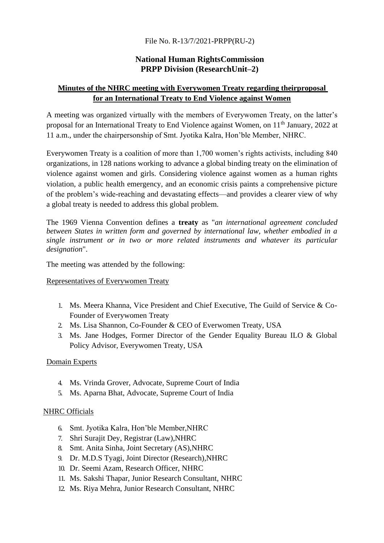## File No. R-13/7/2021-PRPP(RU-2)

## **National Human RightsCommission PRPP Division (ResearchUnit–2)**

## **Minutes of the NHRC meeting with Everywomen Treaty regarding theirproposal for an International Treaty to End Violence against Women**

A meeting was organized virtually with the members of Everywomen Treaty, on the latter's proposal for an International Treaty to End Violence against Women, on 11<sup>th</sup> January, 2022 at 11 a.m., under the chairpersonship of Smt. Jyotika Kalra, Hon'ble Member, NHRC.

Everywomen Treaty is a coalition of more than 1,700 women's rights activists, including 840 organizations, in 128 nations working to advance a global binding treaty on the elimination of violence against women and girls. Considering violence against women as a human rights violation, a public health emergency, and an economic crisis paints a comprehensive picture of the problem's wide-reaching and devastating effects—and provides a clearer view of why a global treaty is needed to address this global problem.

The 1969 Vienna Convention defines a **treaty** as "*an international agreement concluded between States in written form and governed by international law, whether embodied in a single instrument or in two or more related instruments and whatever its particular designation*".

The meeting was attended by the following:

## Representatives of Everywomen Treaty

- 1. Ms. Meera Khanna, Vice President and Chief Executive, The Guild of Service & Co-Founder of Everywomen Treaty
- 2. Ms. Lisa Shannon, Co-Founder & CEO of Everwomen Treaty, USA
- 3. Ms. Jane Hodges, Former Director of the Gender Equality Bureau ILO & Global Policy Advisor, Everywomen Treaty, USA

#### **Domain Experts**

- 4. Ms. Vrinda Grover, Advocate, Supreme Court of India
- 5. Ms. Aparna Bhat, Advocate, Supreme Court of India

## NHRC Officials

- 6. Smt. Jyotika Kalra, Hon'ble Member,NHRC
- 7. Shri Surajit Dey, Registrar (Law),NHRC
- 8. Smt. Anita Sinha, Joint Secretary (AS),NHRC
- 9. Dr. M.D.S Tyagi, Joint Director (Research),NHRC
- 10. Dr. Seemi Azam, Research Officer, NHRC
- 11. Ms. Sakshi Thapar, Junior Research Consultant, NHRC
- 12. Ms. Riya Mehra, Junior Research Consultant, NHRC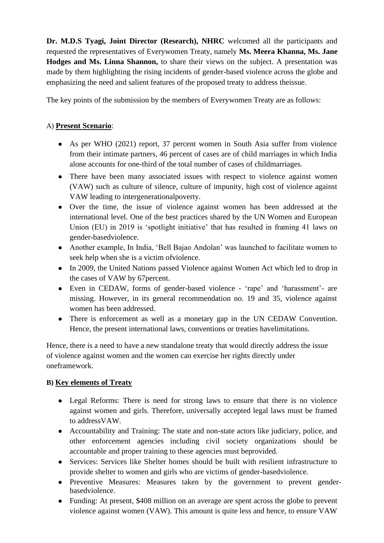**Dr. M.D.S Tyagi, Joint Director (Research), NHRC** welcomed all the participants and requested the representatives of Everywomen Treaty, namely **Ms. Meera Khanna, Ms. Jane Hodges and Ms. Linna Shannon,** to share their views on the subject. A presentation was made by them highlighting the rising incidents of gender-based violence across the globe and emphasizing the need and salient features of the proposed treaty to address theissue.

The key points of the submission by the members of Everywomen Treaty are as follows:

# A) **Present Scenario**:

- As per WHO (2021) report, 37 percent women in South Asia suffer from violence from their intimate partners, 46 percent of cases are of child marriages in which India alone accounts for one-third of the total number of cases of childmarriages.
- There have been many associated issues with respect to violence against women (VAW) such as culture of silence, culture of impunity, high cost of violence against VAW leading to intergenerationalpoverty.
- Over the time, the issue of violence against women has been addressed at the international level. One of the best practices shared by the UN Women and European Union (EU) in 2019 is 'spotlight initiative' that has resulted in framing 41 laws on gender-basedviolence.
- Another example, In India, 'Bell Bajao Andolan' was launched to facilitate women to seek help when she is a victim ofviolence.
- In 2009, the United Nations passed Violence against Women Act which led to drop in the cases of VAW by 67percent.
- Even in CEDAW, forms of gender-based violence 'rape' and 'harassment'- are missing. However, in its general recommendation no. 19 and 35, violence against women has been addressed.
- There is enforcement as well as a monetary gap in the UN CEDAW Convention. Hence, the present international laws, conventions or treaties havelimitations.

Hence, there is a need to have a new standalone treaty that would directly address the issue of violence against women and the women can exercise her rights directly under oneframework.

# **B) Key elements of Treaty**

- Legal Reforms: There is need for strong laws to ensure that there is no violence against women and girls. Therefore, universally accepted legal laws must be framed to addressVAW.
- Accountability and Training: The state and non-state actors like judiciary, police, and other enforcement agencies including civil society organizations should be accountable and proper training to these agencies must beprovided.
- Services: Services like Shelter homes should be built with resilient infrastructure to provide shelter to women and girls who are victims of gender-basedviolence.
- Preventive Measures: Measures taken by the government to prevent genderbasedviolence.
- Funding: At present, \$408 million on an average are spent across the globe to prevent violence against women (VAW). This amount is quite less and hence, to ensure VAW